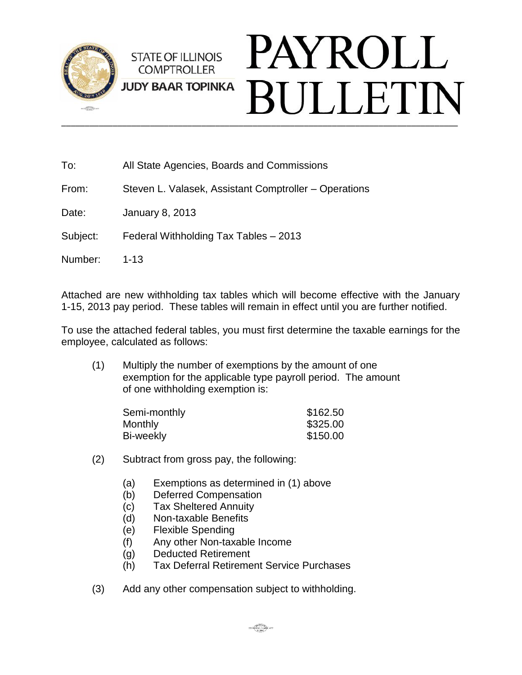

| To:      | All State Agencies, Boards and Commissions            |
|----------|-------------------------------------------------------|
| From:    | Steven L. Valasek, Assistant Comptroller – Operations |
| Date:    | <b>January 8, 2013</b>                                |
| Subject: | Federal Withholding Tax Tables - 2013                 |
| Number:  | $1 - 13$                                              |
|          |                                                       |

Attached are new withholding tax tables which will become effective with the January 1-15, 2013 pay period. These tables will remain in effect until you are further notified.

To use the attached federal tables, you must first determine the taxable earnings for the employee, calculated as follows:

(1) Multiply the number of exemptions by the amount of one exemption for the applicable type payroll period. The amount of one withholding exemption is:

| Semi-monthly | \$162.50 |
|--------------|----------|
| Monthly      | \$325.00 |
| Bi-weekly    | \$150.00 |

- (2) Subtract from gross pay, the following:
	- (a) Exemptions as determined in (1) above
	- (b) Deferred Compensation
	- (c) Tax Sheltered Annuity
	- (d) Non-taxable Benefits
	- (e) Flexible Spending
	- (f) Any other Non-taxable Income
	- (g) Deducted Retirement
	- (h) Tax Deferral Retirement Service Purchases
- (3) Add any other compensation subject to withholding.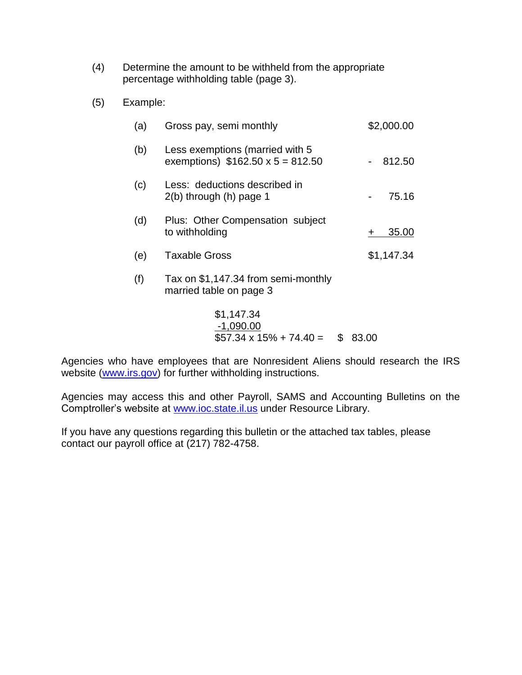- (4) Determine the amount to be withheld from the appropriate percentage withholding table (page 3).
- (5) Example:

| (a) | Gross pay, semi monthly                                                    | \$2,000.00 |
|-----|----------------------------------------------------------------------------|------------|
| (b) | Less exemptions (married with 5<br>exemptions) $$162.50 \times 5 = 812.50$ | 812.50     |
| (c) | Less: deductions described in<br>$2(b)$ through $(h)$ page 1               | 75.16      |
| (d) | Plus: Other Compensation subject<br>to withholding                         | 35.00      |
| (e) | <b>Taxable Gross</b>                                                       | \$1,147.34 |
| (f) | Tax on \$1,147.34 from semi-monthly<br>married table on page 3             |            |
|     | \$1,147.34<br>$-1,090.00$<br>$$57.34 \times 15\% + 74.40 =$<br>\$          | 83.00      |

Agencies who have employees that are Nonresident Aliens should research the IRS website [\(www.irs.gov\)](http://www.irs.gov/) for further withholding instructions.

Agencies may access this and other Payroll, SAMS and Accounting Bulletins on the Comptroller's website at [www.ioc.state.il.us](http://www.ioc.state.il.us/) under Resource Library.

If you have any questions regarding this bulletin or the attached tax tables, please contact our payroll office at (217) 782-4758.